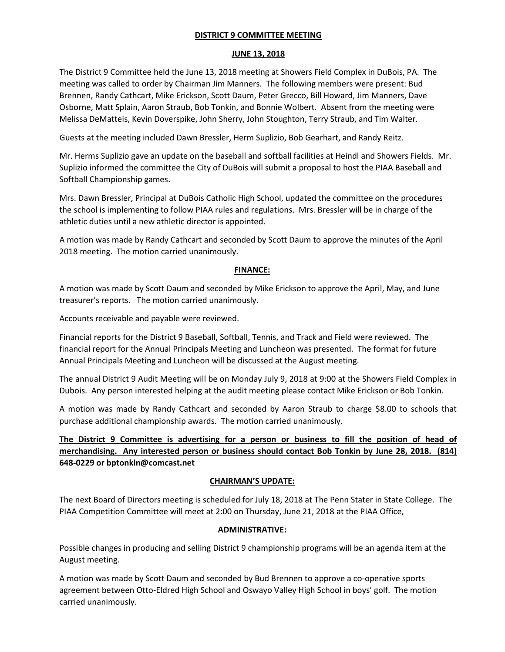### DISTRICT 9 COMMITTEE MEETING

#### JUNE 13, 2018

The District 9 Committee held the June 13, 2018 meeting at Showers Field Complex in DuBois, PA. The meeting was called to order by Chairman Jim Manners. The following members were present: Bud Brennen, Randy Cathcart, Mike Erickson, Scott Daum, Peter Grecco, Bill Howard, Jim Manners, Dave Osborne, Matt Splain, Aaron Straub, Bob Tonkin, and Bonnie Wolbert. Absent from the meeting were Melissa DeMatteis, Kevin Doverspike, John Sherry, John Stoughton, Terry Straub, and Tim Walter.

Guests at the meeting included Dawn Bressler, Herm Suplizio, Bob Gearhart, and Randy Reitz.

Mr. Herms Suplizio gave an update on the baseball and softball facilities at Heindl and Showers Fields. Mr. Suplizio informed the committee the City of DuBois will submit a proposal to host the PIAA Baseball and Softball Championship games.

Mrs. Dawn Bressler, Principal at DuBois Catholic High School, updated the committee on the procedures the school is implementing to follow PIAA rules and regulations. Mrs. Bressler will be in charge of the athletic duties until a new athletic director is appointed.

A motion was made by Randy Cathcart and seconded by Scott Daum to approve the minutes of the April 2018 meeting. The motion carried unanimously.

### FINANCE:

A motion was made by Scott Daum and seconded by Mike Erickson to approve the April, May, and June treasurer's reports. The motion carried unanimously.

Accounts receivable and payable were reviewed.

Financial reports for the District 9 Baseball, Softball, Tennis, and Track and Field were reviewed. The financial report for the Annual Principals Meeting and Luncheon was presented. The format for future Annual Principals Meeting and Luncheon will be discussed at the August meeting.

The annual District 9 Audit Meeting will be on Monday July 9, 2018 at 9:00 at the Showers Field Complex in Dubois. Any person interested helping at the audit meeting please contact Mike Erickson or Bob Tonkin.

A motion was made by Randy Cathcart and seconded by Aaron Straub to charge \$8.00 to schools that purchase additional championship awards. The motion carried unanimously.

# The District 9 Committee is advertising for a person or business to fill the position of head of merchandising. Any interested person or business should contact Bob Tonkin by June 28, 2018. (814) 648-0229 or bptonkin@comcast.net

### CHAIRMAN'S UPDATE:

The next Board of Directors meeting is scheduled for July 18, 2018 at The Penn Stater in State College. The PIAA Competition Committee will meet at 2:00 on Thursday, June 21, 2018 at the PIAA Office,

### ADMINISTRATIVE:

Possible changes in producing and selling District 9 championship programs will be an agenda item at the August meeting.

A motion was made by Scott Daum and seconded by Bud Brennen to approve a co-operative sports agreement between Otto-Eldred High School and Oswayo Valley High School in boys' golf. The motion carried unanimously.